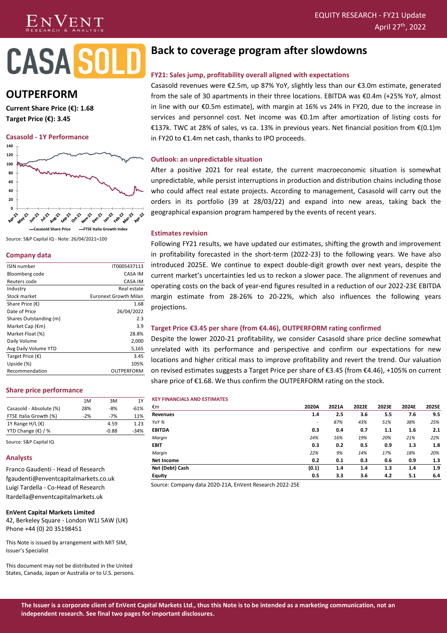# $N$ VENT

# **CASAS**

# **OUTPERFORM**

**Current Share Price (€): 1.68 Target Price (€): 3.45**

#### **Casasold - 1Y Performance**



Source: S&P Capital IQ - Note: 26/04/2021=100

# **Company data**

| <b>ISIN</b> number        | IT0005437113                 |
|---------------------------|------------------------------|
| Bloomberg code            | CASA IM                      |
| Reuters code              | CASA.IM                      |
| Industry                  | Real estate                  |
| Stock market              | <b>Euronext Growth Milan</b> |
| Share Price $(\epsilon)$  | 1.68                         |
| Date of Price             | 26/04/2022                   |
| Shares Outstanding (m)    | 2.3                          |
| Market Cap $(\epsilon m)$ | 3.9                          |
| Market Float (%)          | 28.8%                        |
| Daily Volume              | 2,000                        |
| Avg Daily Volume YTD      | 5,165                        |
| Target Price $(\epsilon)$ | 3.45                         |
| Upside (%)                | 105%                         |
| Recommendation            | OUTPERFORM                   |

# **Share price performance**

|                             | 1M    | 3M      | 1Y     |
|-----------------------------|-------|---------|--------|
| Casasold - Absolute (%)     | 28%   | -8%     | $-61%$ |
| FTSE Italia Growth (%)      | $-2%$ | $-7%$   | 11%    |
| 1Y Range H/L $(E)$          |       | 4.59    | 1.23   |
| YTD Change $(\epsilon)$ / % |       | $-0.88$ | $-34%$ |

Source: S&P Capital IQ

#### **Analysts**

Franco Gaudenti - Head of Research fgaudenti@enventcapitalmarkets.co.uk Luigi Tardella - Co-Head of Research ltardella@enventcapitalmarkets.uk

#### **EnVent Capital Markets Limited**

42, Berkeley Square - London W1J 5AW (UK) Phone +44 (0) 20 35198451

This Note is issued by arrangement with MIT SIM, Issuer's Specialist

This document may not be distributed in the United States, Canada, Japan or Australia or to U.S. persons.

# **Back to coverage program after slowdowns**

# **FY21: Sales jump, profitability overall aligned with expectations**

Casasold revenues were €2.5m, up 87% YoY, slightly less than our €3.0m estimate, generated from the sale of 30 apartments in their three locations. EBITDA was €0.4m (+25% YoY, almost in line with our €0.5m estimate), with margin at 16% vs 24% in FY20, due to the increase in services and personnel cost. Net income was €0.1m after amortization of listing costs for €137k. TWC at 28% of sales, vs ca. 13% in previous years. Net financial position from €(0.1)m in FY20 to €1.4m net cash, thanks to IPO proceeds.

# **Outlook: an unpredictable situation**

After a positive 2021 for real estate, the current macroeconomic situation is somewhat unpredictable, while persist interruptions in production and distribution chains including those who could affect real estate projects. According to management, Casasold will carry out the orders in its portfolio (39 at 28/03/22) and expand into new areas, taking back the geographical expansion program hampered by the events of recent years.

# **Estimates revision**

Following FY21 results, we have updated our estimates, shifting the growth and improvement in profitability forecasted in the short-term (2022-23) to the following years. We have also introduced 2025E. We continue to expect double-digit growth over next years, despite the current market's uncertainties led us to reckon a slower pace. The alignment of revenues and operating costs on the back of year-end figures resulted in a reduction of our 2022-23E EBITDA margin estimate from 28-26% to 20-22%, which also influences the following years projections.

# **Target Price €3.45 per share (from €4.46), OUTPERFORM rating confirmed**

Despite the lower 2020-21 profitability, we consider Casasold share price decline somewhat unrelated with its performance and perspective and confirm our expectations for new locations and higher critical mass to improve profitability and revert the trend. Our valuation on revised estimates suggests a Target Price per share of €3.45 (from €4.46), +105% on current share price of €1.68. We thus confirm the OUTPERFORM rating on the stock.

#### **KEY FINANCIALS AND ESTIMATES**

| €m              | 2020A                    | 2021A | 2022E | 2023E | 2024E | 2025E |
|-----------------|--------------------------|-------|-------|-------|-------|-------|
| Revenues        | 1.4                      | 2.5   | 3.6   | 5.5   | 7.6   | 9.5   |
| YoY %           | $\overline{\phantom{a}}$ | 87%   | 43%   | 51%   | 38%   | 25%   |
| <b>EBITDA</b>   | 0.3                      | 0.4   | 0.7   | 1.1   | 1.6   | 2.1   |
| Margin          | 24%                      | 16%   | 19%   | 20%   | 21%   | 22%   |
| <b>EBIT</b>     | 0.3                      | 0.2   | 0.5   | 0.9   | 1.3   | 1.8   |
| Margin          | 22%                      | 9%    | 14%   | 17%   | 18%   | 20%   |
| Net Income      | 0.2                      | 0.1   | 0.3   | 0.6   | 0.9   | 1.3   |
| Net (Debt) Cash | (0.1)                    | 1.4   | 1.4   | 1.3   | 1.4   | 1.9   |
| <b>Equity</b>   | 0.5                      | 3.3   | 3.6   | 4.2   | 5.1   | 6.4   |

Source: Company data 2020-21A, EnVent Research 2022-25E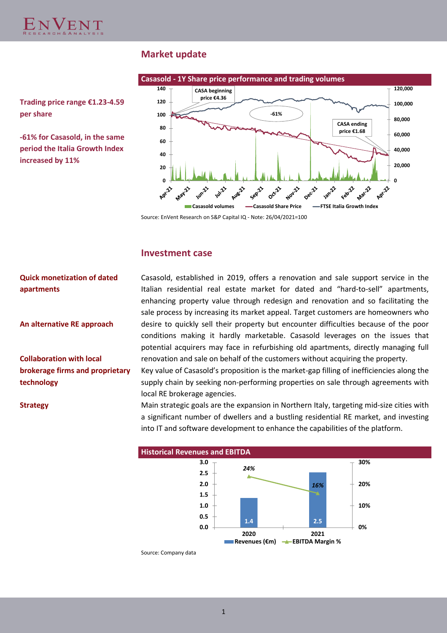

# **Market update**



**Trading price range €1.23-4.59 per share**

**-61% for Casasold, in the same period the Italia Growth Index increased by 11%**

Source: EnVent Research on S&P Capital IQ - Note: 26/04/2021=100

# **Investment case**

**Quick monetization of dated apartments**

**An alternative RE approach**

**Collaboration with local brokerage firms and proprietary technology**

Casasold, established in 2019, offers a renovation and sale support service in the Italian residential real estate market for dated and "hard-to-sell" apartments, enhancing property value through redesign and renovation and so facilitating the sale process by increasing its market appeal. Target customers are homeowners who desire to quickly sell their property but encounter difficulties because of the poor conditions making it hardly marketable. Casasold leverages on the issues that potential acquirers may face in refurbishing old apartments, directly managing full renovation and sale on behalf of the customers without acquiring the property.

Key value of Casasold's proposition is the market-gap filling of inefficiencies along the supply chain by seeking non-performing properties on sale through agreements with local RE brokerage agencies.

**Strategy** Main strategic goals are the expansion in Northern Italy, targeting mid-size cities with a significant number of dwellers and a bustling residential RE market, and investing into IT and software development to enhance the capabilities of the platform.



Source: Company data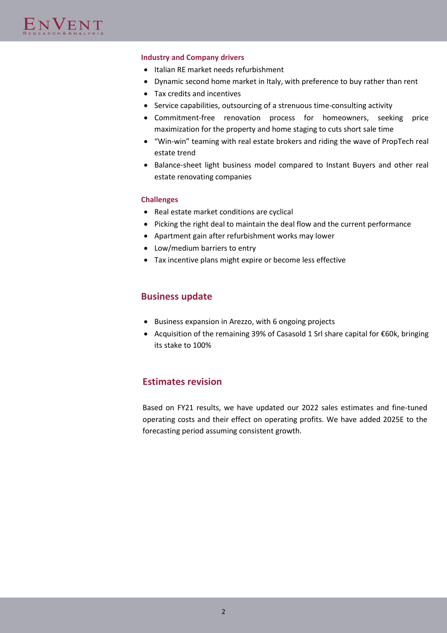# **Industry and Company drivers**

- Italian RE market needs refurbishment
- Dynamic second home market in Italy, with preference to buy rather than rent
- Tax credits and incentives
- Service capabilities, outsourcing of a strenuous time-consulting activity
- Commitment-free renovation process for homeowners, seeking price maximization for the property and home staging to cuts short sale time
- "Win-win" teaming with real estate brokers and riding the wave of PropTech real estate trend
- Balance-sheet light business model compared to Instant Buyers and other real estate renovating companies

# **Challenges**

- Real estate market conditions are cyclical
- Picking the right deal to maintain the deal flow and the current performance
- Apartment gain after refurbishment works may lower
- Low/medium barriers to entry
- Tax incentive plans might expire or become less effective

# **Business update**

- Business expansion in Arezzo, with 6 ongoing projects
- Acquisition of the remaining 39% of Casasold 1 Srl share capital for €60k, bringing its stake to 100%

# **Estimates revision**

Based on FY21 results, we have updated our 2022 sales estimates and fine-tuned operating costs and their effect on operating profits. We have added 2025E to the forecasting period assuming consistent growth.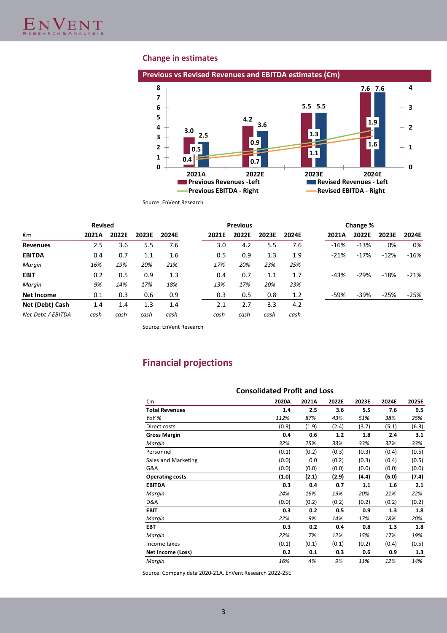# **Change in estimates**



Source: EnVent Research

|                   | <b>Revised</b> |       |       |       |       | <b>Previous</b> |       |       |        | Change % |        |        |
|-------------------|----------------|-------|-------|-------|-------|-----------------|-------|-------|--------|----------|--------|--------|
| €m                | 2021A          | 2022E | 2023E | 2024E | 2021E | 2022E           | 2023E | 2024E | 2021A  | 2022E    | 2023E  | 2024E  |
| <b>Revenues</b>   | 2.5            | 3.6   | 5.5   | 7.6   | 3.0   | 4.2             | 5.5   | 7.6   | $-16%$ | $-13%$   | 0%     | 0%     |
| <b>EBITDA</b>     | 0.4            | 0.7   | 1.1   | 1.6   | 0.5   | 0.9             | 1.3   | 1.9   | $-21%$ | $-17%$   | $-12%$ | $-16%$ |
| Margin            | 16%            | 19%   | 20%   | 21%   | 17%   | 20%             | 23%   | 25%   |        |          |        |        |
| <b>EBIT</b>       | 0.2            | 0.5   | 0.9   | 1.3   | 0.4   | 0.7             | 1.1   | 1.7   | $-43%$ | $-29%$   | $-18%$ | $-21%$ |
| Margin            | 9%             | 14%   | 17%   | 18%   | 13%   | 17%             | 20%   | 23%   |        |          |        |        |
| Net Income        | 0.1            | 0.3   | 0.6   | 0.9   | 0.3   | 0.5             | 0.8   | 1.2   | $-59%$ | $-39%$   | $-25%$ | $-25%$ |
| Net (Debt) Cash   | 1.4            | 1.4   | 1.3   | 1.4   | 2.1   | 2.7             | 3.3   | 4.2   |        |          |        |        |
| Net Debt / EBITDA | cash           | cash  | cash  | cash  | cash  | cash            | cash  | cash  |        |          |        |        |

Source: EnVent Research

# **Financial projections**

|                        | <b>Consolidated Profit and Loss</b> |       |       |       |       |       |  |  |
|------------------------|-------------------------------------|-------|-------|-------|-------|-------|--|--|
| €m                     | 2020A                               | 2021A | 2022E | 2023E | 2024E | 2025E |  |  |
| <b>Total Revenues</b>  | 1.4                                 | 2.5   | 3.6   | 5.5   | 7.6   | 9.5   |  |  |
| YoY %                  | 112%                                | 87%   | 43%   | 51%   | 38%   | 25%   |  |  |
| Direct costs           | (0.9)                               | (1.9) | (2.4) | (3.7) | (5.1) | (6.3) |  |  |
| <b>Gross Margin</b>    | 0.4                                 | 0.6   | 1.2   | 1.8   | 2.4   | 3.1   |  |  |
| Margin                 | 32%                                 | 25%   | 33%   | 33%   | 32%   | 33%   |  |  |
| Personnel              | (0.1)                               | (0.2) | (0.3) | (0.3) | (0.4) | (0.5) |  |  |
| Sales and Marketing    | (0.0)                               | 0.0   | (0.2) | (0.3) | (0.4) | (0.5) |  |  |
| G&A                    | (0.0)                               | (0.0) | (0.0) | (0.0) | (0.0) | (0.0) |  |  |
| <b>Operating costs</b> | (1.0)                               | (2.1) | (2.9) | (4.4) | (6.0) | (7.4) |  |  |
| <b>EBITDA</b>          | 0.3                                 | 0.4   | 0.7   | 1.1   | 1.6   | 2.1   |  |  |
| Margin                 | 24%                                 | 16%   | 19%   | 20%   | 21%   | 22%   |  |  |
| D&A                    | (0.0)                               | (0.2) | (0.2) | (0.2) | (0.2) | (0.2) |  |  |
| <b>EBIT</b>            | 0.3                                 | 0.2   | 0.5   | 0.9   | 1.3   | 1.8   |  |  |
| Margin                 | 22%                                 | 9%    | 14%   | 17%   | 18%   | 20%   |  |  |
| <b>EBT</b>             | 0.3                                 | 0.2   | 0.4   | 0.8   | 1.3   | 1.8   |  |  |
| Margin                 | 22%                                 | 7%    | 12%   | 15%   | 17%   | 19%   |  |  |
| Income taxes           | (0.1)                               | (0.1) | (0.1) | (0.2) | (0.4) | (0.5) |  |  |
| Net Income (Loss)      | 0.2                                 | 0.1   | 0.3   | 0.6   | 0.9   | 1.3   |  |  |
| Margin                 | 16%                                 | 4%    | 9%    | 11%   | 12%   | 14%   |  |  |

Source: Company data 2020-21A, EnVent Research 2022-25E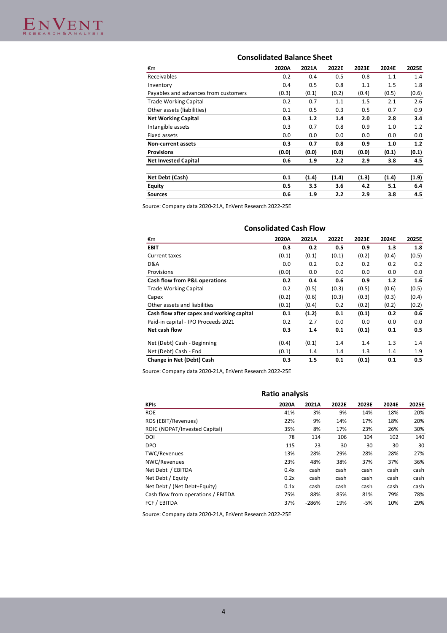# **Consolidated Balance Sheet**

| €m                                   | 2020A | 2021A | 2022E | 2023E | 2024E | 2025E |
|--------------------------------------|-------|-------|-------|-------|-------|-------|
| Receivables                          | 0.2   | 0.4   | 0.5   | 0.8   | 1.1   | 1.4   |
| Inventory                            | 0.4   | 0.5   | 0.8   | 1.1   | 1.5   | 1.8   |
| Payables and advances from customers | (0.3) | (0.1) | (0.2) | (0.4) | (0.5) | (0.6) |
| <b>Trade Working Capital</b>         | 0.2   | 0.7   | 1.1   | 1.5   | 2.1   | 2.6   |
| Other assets (liabilities)           | 0.1   | 0.5   | 0.3   | 0.5   | 0.7   | 0.9   |
| <b>Net Working Capital</b>           | 0.3   | 1.2   | 1.4   | 2.0   | 2.8   | 3.4   |
| Intangible assets                    | 0.3   | 0.7   | 0.8   | 0.9   | 1.0   | 1.2   |
| <b>Fixed assets</b>                  | 0.0   | 0.0   | 0.0   | 0.0   | 0.0   | 0.0   |
| Non-current assets                   | 0.3   | 0.7   | 0.8   | 0.9   | 1.0   | 1.2   |
| <b>Provisions</b>                    | (0.0) | (0.0) | (0.0) | (0.0) | (0.1) | (0.1) |
| <b>Net Invested Capital</b>          | 0.6   | 1.9   | 2.2   | 2.9   | 3.8   | 4.5   |
|                                      |       |       |       |       |       |       |
| Net Debt (Cash)                      | 0.1   | (1.4) | (1.4) | (1.3) | (1.4) | (1.9) |
| <b>Equity</b>                        | 0.5   | 3.3   | 3.6   | 4.2   | 5.1   | 6.4   |

**Sources 0.6 1.9 2.2 2.9 3.8 4.5**

Source: Company data 2020-21A, EnVent Research 2022-25E

| <b>Consolidated Cash Flow</b>             |       |       |       |       |       |       |
|-------------------------------------------|-------|-------|-------|-------|-------|-------|
| €m                                        | 2020A | 2021A | 2022E | 2023E | 2024E | 2025E |
| <b>EBIT</b>                               | 0.3   | 0.2   | 0.5   | 0.9   | 1.3   | 1.8   |
| Current taxes                             | (0.1) | (0.1) | (0.1) | (0.2) | (0.4) | (0.5) |
| D&A                                       | 0.0   | 0.2   | 0.2   | 0.2   | 0.2   | 0.2   |
| Provisions                                | (0.0) | 0.0   | 0.0   | 0.0   | 0.0   | 0.0   |
| Cash flow from P&L operations             | 0.2   | 0.4   | 0.6   | 0.9   | 1.2   | 1.6   |
| <b>Trade Working Capital</b>              | 0.2   | (0.5) | (0.3) | (0.5) | (0.6) | (0.5) |
| Capex                                     | (0.2) | (0.6) | (0.3) | (0.3) | (0.3) | (0.4) |
| Other assets and liabilities              | (0.1) | (0.4) | 0.2   | (0.2) | (0.2) | (0.2) |
| Cash flow after capex and working capital | 0.1   | (1.2) | 0.1   | (0.1) | 0.2   | 0.6   |
| Paid-in capital - IPO Proceeds 2021       | 0.2   | 2.7   | 0.0   | 0.0   | 0.0   | 0.0   |
| Net cash flow                             | 0.3   | 1.4   | 0.1   | (0.1) | 0.1   | 0.5   |
| Net (Debt) Cash - Beginning               | (0.4) | (0.1) | 1.4   | 1.4   | 1.3   | 1.4   |
| Net (Debt) Cash - End                     | (0.1) | 1.4   | 1.4   | 1.3   | 1.4   | 1.9   |
| Change in Net (Debt) Cash                 | 0.3   | 1.5   | 0.1   | (0.1) | 0.1   | 0.5   |

Source: Company data 2020-21A, EnVent Research 2022-25E

| <b>Ratio analysis</b>              |       |         |       |       |       |       |  |
|------------------------------------|-------|---------|-------|-------|-------|-------|--|
| <b>KPIs</b>                        | 2020A | 2021A   | 2022E | 2023E | 2024E | 2025E |  |
| <b>ROE</b>                         | 41%   | 3%      | 9%    | 14%   | 18%   | 20%   |  |
| ROS (EBIT/Revenues)                | 22%   | 9%      | 14%   | 17%   | 18%   | 20%   |  |
| ROIC (NOPAT/Invested Capital)      | 35%   | 8%      | 17%   | 23%   | 26%   | 30%   |  |
| DOI                                | 78    | 114     | 106   | 104   | 102   | 140   |  |
| <b>DPO</b>                         | 115   | 23      | 30    | 30    | 30    | 30    |  |
| TWC/Revenues                       | 13%   | 28%     | 29%   | 28%   | 28%   | 27%   |  |
| NWC/Revenues                       | 23%   | 48%     | 38%   | 37%   | 37%   | 36%   |  |
| Net Debt / EBITDA                  | 0.4x  | cash    | cash  | cash  | cash  | cash  |  |
| Net Debt / Equity                  | 0.2x  | cash    | cash  | cash  | cash  | cash  |  |
| Net Debt / (Net Debt+Equity)       | 0.1x  | cash    | cash  | cash  | cash  | cash  |  |
| Cash flow from operations / EBITDA | 75%   | 88%     | 85%   | 81%   | 79%   | 78%   |  |
| <b>FCF / EBITDA</b>                | 37%   | $-286%$ | 19%   | -5%   | 10%   | 29%   |  |

Source: Company data 2020-21A, EnVent Research 2022-25E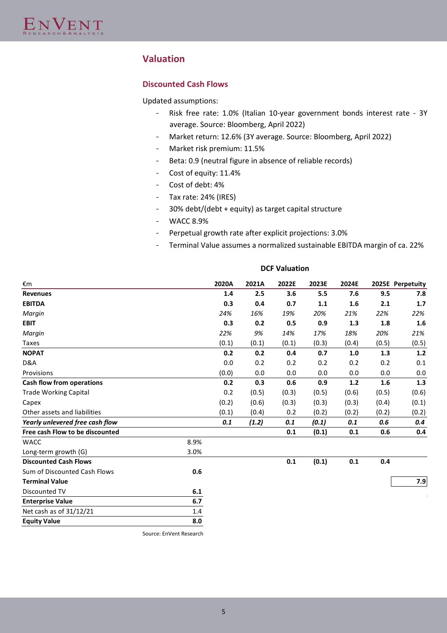# **Valuation**

# **Discounted Cash Flows**

Updated assumptions:

- Risk free rate: 1.0% (Italian 10-year government bonds interest rate 3Y average. Source: Bloomberg, April 2022)
- Market return: 12.6% (3Y average. Source: Bloomberg, April 2022)
- Market risk premium: 11.5%
- Beta: 0.9 (neutral figure in absence of reliable records)
- Cost of equity: 11.4%
- Cost of debt: 4%
- Tax rate: 24% (IRES)
- 30% debt/(debt + equity) as target capital structure
- WACC 8.9%
- Perpetual growth rate after explicit projections: 3.0%
- Terminal Value assumes a normalized sustainable EBITDA margin of ca. 22%

| €m                              |      | 2020A | 2021A | 2022E | 2023E | 2024E |       | 2025E Perpetuity |
|---------------------------------|------|-------|-------|-------|-------|-------|-------|------------------|
| <b>Revenues</b>                 |      | 1.4   | 2.5   | 3.6   | 5.5   | 7.6   | 9.5   | 7.8              |
| <b>EBITDA</b>                   |      | 0.3   | 0.4   | 0.7   | 1.1   | 1.6   | 2.1   | 1.7              |
| Margin                          |      | 24%   | 16%   | 19%   | 20%   | 21%   | 22%   | 22%              |
| <b>EBIT</b>                     |      | 0.3   | 0.2   | 0.5   | 0.9   | 1.3   | 1.8   | 1.6              |
| Margin                          |      | 22%   | 9%    | 14%   | 17%   | 18%   | 20%   | 21%              |
| Taxes                           |      | (0.1) | (0.1) | (0.1) | (0.3) | (0.4) | (0.5) | (0.5)            |
| <b>NOPAT</b>                    |      | 0.2   | 0.2   | 0.4   | 0.7   | 1.0   | 1.3   | 1.2              |
| D&A                             |      | 0.0   | 0.2   | 0.2   | 0.2   | 0.2   | 0.2   | 0.1              |
| Provisions                      |      | (0.0) | 0.0   | 0.0   | 0.0   | 0.0   | 0.0   | 0.0              |
| Cash flow from operations       |      | 0.2   | 0.3   | 0.6   | 0.9   | 1.2   | 1.6   | 1.3              |
| <b>Trade Working Capital</b>    |      | 0.2   | (0.5) | (0.3) | (0.5) | (0.6) | (0.5) | (0.6)            |
| Capex                           |      | (0.2) | (0.6) | (0.3) | (0.3) | (0.3) | (0.4) | (0.1)            |
| Other assets and liabilities    |      | (0.1) | (0.4) | 0.2   | (0.2) | (0.2) | (0.2) | (0.2)            |
| Yearly unlevered free cash flow |      | 0.1   | (1.2) | 0.1   | (0.1) | 0.1   | 0.6   | 0.4              |
| Free cash Flow to be discounted |      |       |       | 0.1   | (0.1) | 0.1   | 0.6   | 0.4              |
| <b>WACC</b>                     | 8.9% |       |       |       |       |       |       |                  |
| Long-term growth (G)            | 3.0% |       |       |       |       |       |       |                  |
| <b>Discounted Cash Flows</b>    |      |       |       | 0.1   | (0.1) | 0.1   | 0.4   |                  |
| Sum of Discounted Cash Flows    | 0.6  |       |       |       |       |       |       |                  |
| <b>Terminal Value</b>           |      |       |       |       |       |       |       | 7.9              |
| Discounted TV                   | 6.1  |       |       |       |       |       |       |                  |
| <b>Enterprise Value</b>         | 6.7  |       |       |       |       |       |       |                  |
| Net cash as of 31/12/21         | 1.4  |       |       |       |       |       |       |                  |
| <b>Equity Value</b>             | 8.0  |       |       |       |       |       |       |                  |

**DCF Valuation**

Source: EnVent Research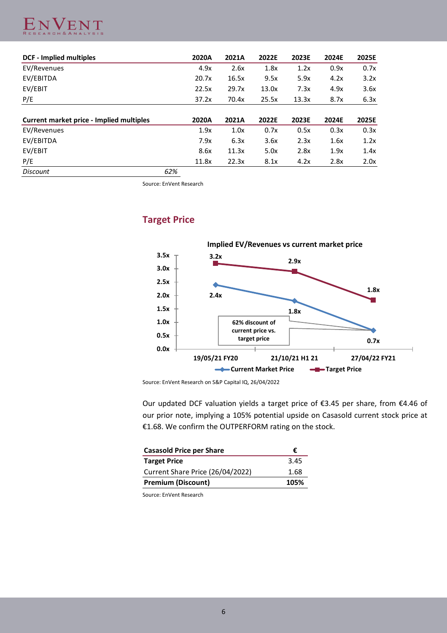

| <b>DCF - Implied multiples</b>           |     | 2020A | 2021A | 2022E | 2023E | 2024E | 2025E |
|------------------------------------------|-----|-------|-------|-------|-------|-------|-------|
| EV/Revenues                              |     | 4.9x  | 2.6x  | 1.8x  | 1.2x  | 0.9x  | 0.7x  |
| EV/EBITDA                                |     | 20.7x | 16.5x | 9.5x  | 5.9x  | 4.2x  | 3.2x  |
| EV/EBIT                                  |     | 22.5x | 29.7x | 13.0x | 7.3x  | 4.9x  | 3.6x  |
| P/E                                      |     | 37.2x | 70.4x | 25.5x | 13.3x | 8.7x  | 6.3x  |
| Current market price - Implied multiples |     | 2020A | 2021A | 2022E | 2023E | 2024E | 2025E |
| EV/Revenues                              |     | 1.9x  | 1.0x  | 0.7x  | 0.5x  | 0.3x  | 0.3x  |
| EV/EBITDA                                |     | 7.9x  | 6.3x  | 3.6x  | 2.3x  | 1.6x  | 1.2x  |
| EV/EBIT                                  |     | 8.6x  | 11.3x | 5.0x  | 2.8x  | 1.9x  | 1.4x  |
| P/E                                      |     | 11.8x | 22.3x | 8.1x  | 4.2x  | 2.8x  | 2.0x  |
| <b>Discount</b>                          | 62% |       |       |       |       |       |       |

Source: EnVent Research

# **Target Price**



Source: EnVent Research on S&P Capital IQ, 26/04/2022

Our updated DCF valuation yields a target price of €3.45 per share, from €4.46 of our prior note, implying a 105% potential upside on Casasold current stock price at €1.68. We confirm the OUTPERFORM rating on the stock.

| <b>Casasold Price per Share</b>  | €    |
|----------------------------------|------|
| <b>Target Price</b>              | 3.45 |
| Current Share Price (26/04/2022) | 1.68 |
| <b>Premium (Discount)</b>        | 105% |

Source: EnVent Research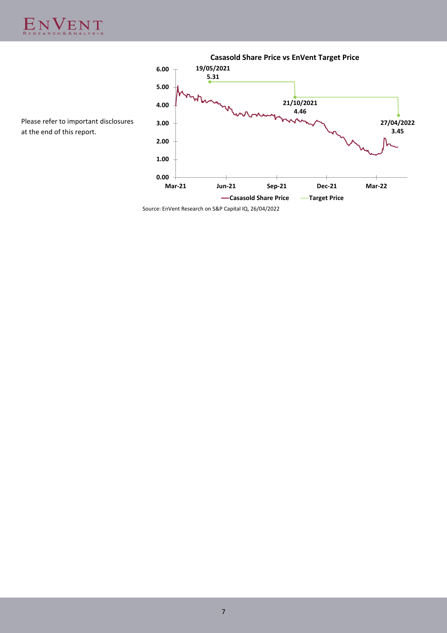



Please refer to important disclosures at the end of this report.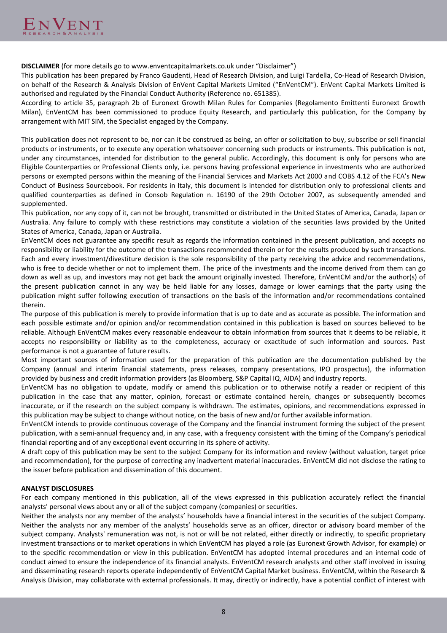**DISCLAIMER** (for more details go to www.enventcapitalmarkets.co.uk under "Disclaimer")

This publication has been prepared by Franco Gaudenti, Head of Research Division, and Luigi Tardella, Co-Head of Research Division, on behalf of the Research & Analysis Division of EnVent Capital Markets Limited ("EnVentCM"). EnVent Capital Markets Limited is authorised and regulated by the Financial Conduct Authority (Reference no. 651385).

According to article 35, paragraph 2b of Euronext Growth Milan Rules for Companies (Regolamento Emittenti Euronext Growth Milan), EnVentCM has been commissioned to produce Equity Research, and particularly this publication, for the Company by arrangement with MIT SIM, the Specialist engaged by the Company.

This publication does not represent to be, nor can it be construed as being, an offer or solicitation to buy, subscribe or sell financial products or instruments, or to execute any operation whatsoever concerning such products or instruments. This publication is not, under any circumstances, intended for distribution to the general public. Accordingly, this document is only for persons who are Eligible Counterparties or Professional Clients only, i.e. persons having professional experience in investments who are authorized persons or exempted persons within the meaning of the Financial Services and Markets Act 2000 and COBS 4.12 of the FCA's New Conduct of Business Sourcebook. For residents in Italy, this document is intended for distribution only to professional clients and qualified counterparties as defined in Consob Regulation n. 16190 of the 29th October 2007, as subsequently amended and supplemented.

This publication, nor any copy of it, can not be brought, transmitted or distributed in the United States of America, Canada, Japan or Australia. Any failure to comply with these restrictions may constitute a violation of the securities laws provided by the United States of America, Canada, Japan or Australia.

EnVentCM does not guarantee any specific result as regards the information contained in the present publication, and accepts no responsibility or liability for the outcome of the transactions recommended therein or for the results produced by such transactions. Each and every investment/divestiture decision is the sole responsibility of the party receiving the advice and recommendations, who is free to decide whether or not to implement them. The price of the investments and the income derived from them can go down as well as up, and investors may not get back the amount originally invested. Therefore, EnVentCM and/or the author(s) of the present publication cannot in any way be held liable for any losses, damage or lower earnings that the party using the publication might suffer following execution of transactions on the basis of the information and/or recommendations contained therein.

The purpose of this publication is merely to provide information that is up to date and as accurate as possible. The information and each possible estimate and/or opinion and/or recommendation contained in this publication is based on sources believed to be reliable. Although EnVentCM makes every reasonable endeavour to obtain information from sources that it deems to be reliable, it accepts no responsibility or liability as to the completeness, accuracy or exactitude of such information and sources. Past performance is not a guarantee of future results.

Most important sources of information used for the preparation of this publication are the documentation published by the Company (annual and interim financial statements, press releases, company presentations, IPO prospectus), the information provided by business and credit information providers (as Bloomberg, S&P Capital IQ, AIDA) and industry reports.

EnVentCM has no obligation to update, modify or amend this publication or to otherwise notify a reader or recipient of this publication in the case that any matter, opinion, forecast or estimate contained herein, changes or subsequently becomes inaccurate, or if the research on the subject company is withdrawn. The estimates, opinions, and recommendations expressed in this publication may be subject to change without notice, on the basis of new and/or further available information.

EnVentCM intends to provide continuous coverage of the Company and the financial instrument forming the subject of the present publication, with a semi-annual frequency and, in any case, with a frequency consistent with the timing of the Company's periodical financial reporting and of any exceptional event occurring in its sphere of activity.

A draft copy of this publication may be sent to the subject Company for its information and review (without valuation, target price and recommendation), for the purpose of correcting any inadvertent material inaccuracies. EnVentCM did not disclose the rating to the issuer before publication and dissemination of this document.

# **ANALYST DISCLOSURES**

For each company mentioned in this publication, all of the views expressed in this publication accurately reflect the financial analysts' personal views about any or all of the subject company (companies) or securities.

Neither the analysts nor any member of the analysts' households have a financial interest in the securities of the subject Company. Neither the analysts nor any member of the analysts' households serve as an officer, director or advisory board member of the subject company. Analysts' remuneration was not, is not or will be not related, either directly or indirectly, to specific proprietary investment transactions or to market operations in which EnVentCM has played a role (as Euronext Growth Advisor, for example) or to the specific recommendation or view in this publication. EnVentCM has adopted internal procedures and an internal code of conduct aimed to ensure the independence of its financial analysts. EnVentCM research analysts and other staff involved in issuing and disseminating research reports operate independently of EnVentCM Capital Market business. EnVentCM, within the Research & Analysis Division, may collaborate with external professionals. It may, directly or indirectly, have a potential conflict of interest with